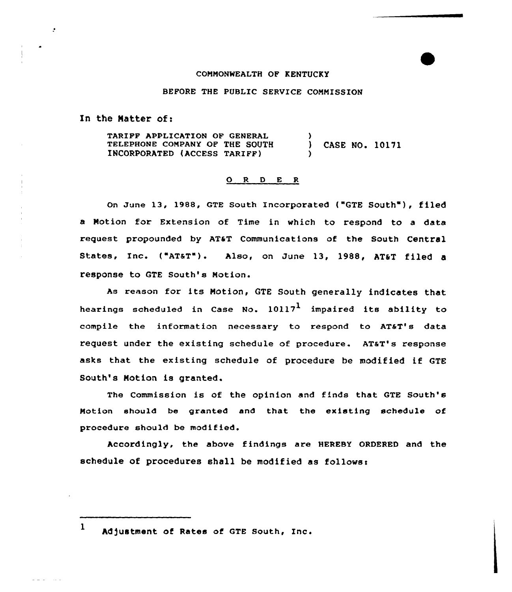## COMMONWEALTH OF KENTUCKY

## BEFORE THE PUBLIC SERVICE CONNISSION

In the Natter of:

 $\mathcal{L}$ 

TARIFF APPLICATION OF GENERAL TELEPHONE CONPANY OF THE SOUTH INCORPORATED (ACCESS TARIFF)  $\mathbf{I}$ ) CASE NO. 10171 )

## 0 <sup>R</sup> <sup>D</sup> <sup>E</sup> <sup>R</sup>

On June 13, 1988, GTE South Incorporated ("GTE South"), filed a Motion for Extension of Time in which to respond to a data request propounded by AT&T Communications of the South Central States, Inc. ("AT&T"). Also, on June 13, 1988, AT&T filed a response to GTE South's Motion.

As reason for its Notion, GTE South generally indicates that hearings scheduled in Case No.  $10117<sup>1</sup>$  impaired its ability to compile the information necessary to respond to AT&T's data request under the existing schedule of procedure. AT&T's response asks that the existing schedule of procedure be modified if GTE South's Notion is granted.

The Commission is of the opinion and finds that GTE South's Notion should be granted and that the existing schedule of procedure should be modified.

Accordingly, the above findings are HEREBY ORDERED and the schedule of procedures shall be modified as follows:

hd)ustment of Rates ot GTE South, Inc.

 $\mathbf{1}$ 

a ana mara